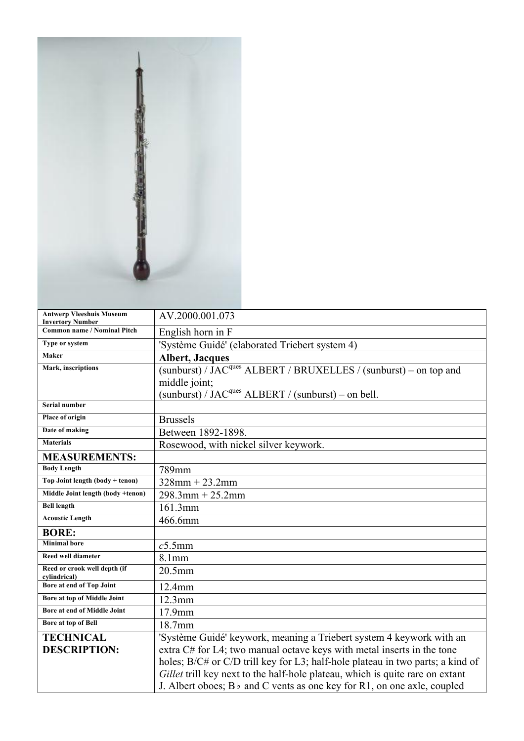| <b>Antwerp Vleeshuis Museum</b><br><b>Invertory Number</b> | AV.2000.001.073                                                                     |
|------------------------------------------------------------|-------------------------------------------------------------------------------------|
| <b>Common name / Nominal Pitch</b>                         | English horn in F                                                                   |
| Type or system                                             | 'Système Guidé' (elaborated Triebert system 4)                                      |
| Maker                                                      | <b>Albert, Jacques</b>                                                              |
| Mark, inscriptions                                         | (sunburst) / JAC <sup>ques</sup> ALBERT / BRUXELLES / (sunburst) – on top and       |
|                                                            | middle joint;                                                                       |
|                                                            | (sunburst) / JAC <sup>ques</sup> ALBERT / (sunburst) – on bell.                     |
| <b>Serial number</b>                                       |                                                                                     |
| Place of origin                                            | <b>Brussels</b>                                                                     |
| Date of making                                             | Between 1892-1898.                                                                  |
| <b>Materials</b>                                           | Rosewood, with nickel silver keywork.                                               |
| <b>MEASUREMENTS:</b>                                       |                                                                                     |
| <b>Body Length</b>                                         | 789mm                                                                               |
| Top Joint length (body + tenon)                            | $328$ mm + 23.2mm                                                                   |
| Middle Joint length (body +tenon)                          | $298.3$ mm + $25.2$ mm                                                              |
| <b>Bell length</b>                                         | 161.3mm                                                                             |
| <b>Acoustic Length</b>                                     | 466.6mm                                                                             |
| <b>BORE:</b>                                               |                                                                                     |
| <b>Minimal</b> bore                                        | $c5.5$ mm                                                                           |
| Reed well diameter                                         | 8.1mm                                                                               |
| Reed or crook well depth (if<br>cylindrical)               | 20.5mm                                                                              |
| <b>Bore at end of Top Joint</b>                            | 12.4mm                                                                              |
| Bore at top of Middle Joint                                | $12.3$ mm                                                                           |
| Bore at end of Middle Joint                                | $17.9$ mm                                                                           |
| Bore at top of Bell                                        | 18.7mm                                                                              |
| <b>TECHNICAL</b>                                           | 'Système Guidé' keywork, meaning a Triebert system 4 keywork with an                |
| <b>DESCRIPTION:</b>                                        | extra C# for L4; two manual octave keys with metal inserts in the tone              |
|                                                            | holes; B/C# or C/D trill key for L3; half-hole plateau in two parts; a kind of      |
|                                                            | Gillet trill key next to the half-hole plateau, which is quite rare on extant       |
|                                                            | J. Albert oboes; B <sub>b</sub> and C vents as one key for R1, on one axle, coupled |